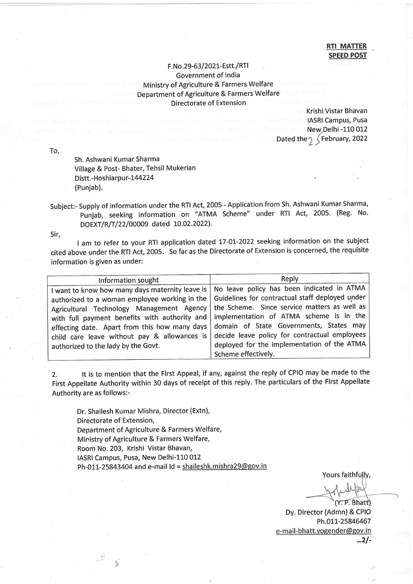## **RTI MATTER SPEED POST**

## F. No. 29-63/2021-Estt./RTI Government of India Ministry of Agriculture & Farmers Welfare Department of Agriculture & Farmers Welfare Directorate of Extension

Krishi Vistar Bhavan **IASRI Campus, Pusa** New Delhi -110 012 Dated the  $\gamma$   $\zeta$  February, 2022

To,

Sh. Ashwani Kumar Sharma Village & Post- Bhater, Tehsil Mukerian Distt.-Hoshiarpur-144224 (Punjab).

Subject:- Supply of information under the RTI Act, 2005 - Application from Sh. Ashwani Kumar Sharma, punjab, seeking information on "ATMA Scheme" under RTI Act, 2005. (Reg. No. DOEXT/R/T/22/00009 dated 10.02.2022).

Sir,

I am to refer to your RTI application dated 17-01-2022 seeking information on the subject cited above under the RTI Act, 2005. So far as the Directorate of Extension is concerned, the requisite information is given as under:

| Information sought                                                                                                                                                                                                                                                                                                                     | Reply                                                                                                                                                                                                                                                                                                                                                      |
|----------------------------------------------------------------------------------------------------------------------------------------------------------------------------------------------------------------------------------------------------------------------------------------------------------------------------------------|------------------------------------------------------------------------------------------------------------------------------------------------------------------------------------------------------------------------------------------------------------------------------------------------------------------------------------------------------------|
| I want to know how many days maternity leave is<br>authorized to a woman employee working in the<br>Agricultural Technology Management Agency<br>with full payment benefits with authority and<br>effecting date. Apart from this how many days<br>child care leave without pay & allowances is<br>authorized to the lady by the Govt. | No leave policy has been indicated in ATMA<br>Guidelines for contractual staff deployed under<br>the Scheme. Since service matters as well as<br>implementation of ATMA scheme is in the<br>domain of State Governments, States may<br>decide leave policy for contractual employees<br>deployed for the implementation of the ATMA<br>Scheme effectively. |

2. lt is to mention that the First Appeal, if any, against the reply of CPIO may be made to the First Appellate Authority within 30 days of receipt of this reply. The particulars of the First Appellate Authority are as follows:-

Dr. Shailesh Kumar Mishra, Director (Extn), Directorate of Extension, Department of Agriculture & Farmers Welfare, Ministry of Agriculture & Farmers Welfare, Room No.203, Krishi Vistar Bhavan, IASRI Campus, Pusa, New Delhi-110 012 Ph-011-25843404 and e-mail ld = shaileshk.mishra29@gov.in

Yours faithfully,

 $(Y, P, Bhatt)$ Dy. Director (Admn)& CPIO Ph.011-25846467 e-mail-bhatt.yogender@gov.in ...21-